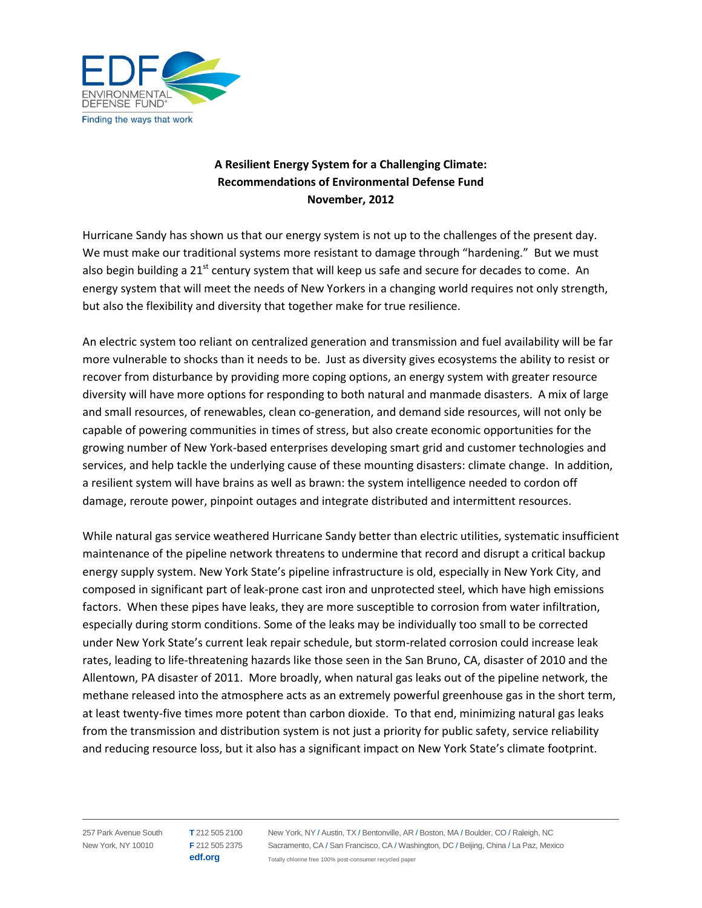

## **A Resilient Energy System for a Challenging Climate: Recommendations of Environmental Defense Fund November, 2012**

Hurricane Sandy has shown us that our energy system is not up to the challenges of the present day. We must make our traditional systems more resistant to damage through "hardening." But we must also begin building a 21<sup>st</sup> century system that will keep us safe and secure for decades to come. An energy system that will meet the needs of New Yorkers in a changing world requires not only strength, but also the flexibility and diversity that together make for true resilience.

An electric system too reliant on centralized generation and transmission and fuel availability will be far more vulnerable to shocks than it needs to be. Just as diversity gives ecosystems the ability to resist or recover from disturbance by providing more coping options, an energy system with greater resource diversity will have more options for responding to both natural and manmade disasters. A mix of large and small resources, of renewables, clean co-generation, and demand side resources, will not only be capable of powering communities in times of stress, but also create economic opportunities for the growing number of New York-based enterprises developing smart grid and customer technologies and services, and help tackle the underlying cause of these mounting disasters: climate change. In addition, a resilient system will have brains as well as brawn: the system intelligence needed to cordon off damage, reroute power, pinpoint outages and integrate distributed and intermittent resources.

While natural gas service weathered Hurricane Sandy better than electric utilities, systematic insufficient maintenance of the pipeline network threatens to undermine that record and disrupt a critical backup energy supply system. New York State's pipeline infrastructure is old, especially in New York City, and composed in significant part of leak-prone cast iron and unprotected steel, which have high emissions factors. When these pipes have leaks, they are more susceptible to corrosion from water infiltration, especially during storm conditions. Some of the leaks may be individually too small to be corrected under New York State's current leak repair schedule, but storm-related corrosion could increase leak rates, leading to life-threatening hazards like those seen in the San Bruno, CA, disaster of 2010 and the Allentown, PA disaster of 2011. More broadly, when natural gas leaks out of the pipeline network, the methane released into the atmosphere acts as an extremely powerful greenhouse gas in the short term, at least twenty-five times more potent than carbon dioxide. To that end, minimizing natural gas leaks from the transmission and distribution system is not just a priority for public safety, service reliability and reducing resource loss, but it also has a significant impact on New York State's climate footprint.

257 Park Avenue South New York, NY 10010

**T** 212 505 2100 **F** 212 505 2375 **edf.org**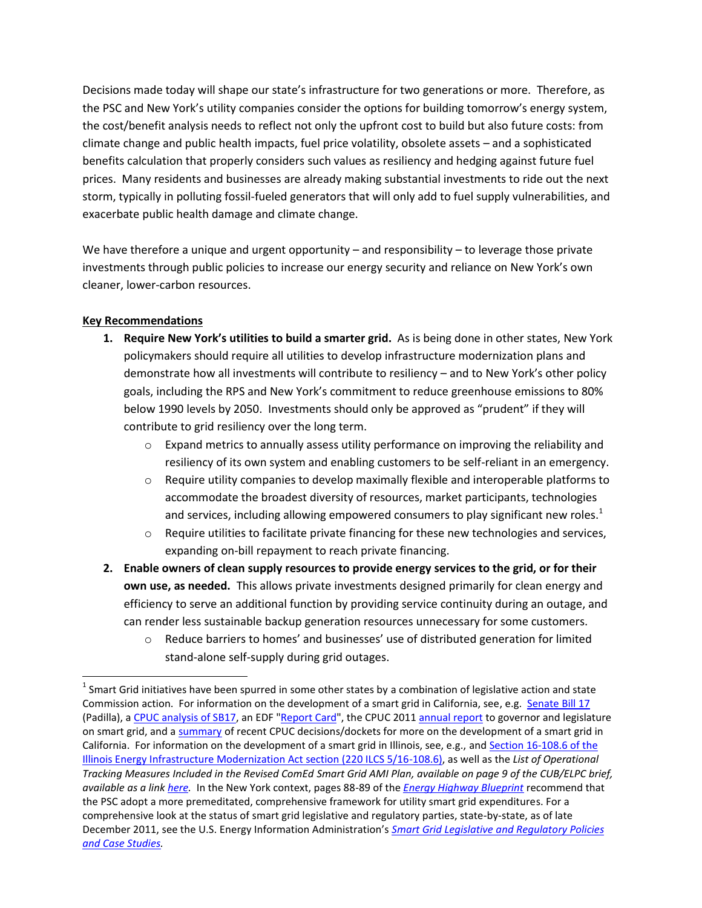Decisions made today will shape our state's infrastructure for two generations or more. Therefore, as the PSC and New York's utility companies consider the options for building tomorrow's energy system, the cost/benefit analysis needs to reflect not only the upfront cost to build but also future costs: from climate change and public health impacts, fuel price volatility, obsolete assets – and a sophisticated benefits calculation that properly considers such values as resiliency and hedging against future fuel prices. Many residents and businesses are already making substantial investments to ride out the next storm, typically in polluting fossil-fueled generators that will only add to fuel supply vulnerabilities, and exacerbate public health damage and climate change.

We have therefore a unique and urgent opportunity – and responsibility – to leverage those private investments through public policies to increase our energy security and reliance on New York's own cleaner, lower-carbon resources.

## **Key Recommendations**

- **1. Require New York's utilities to build a smarter grid.** As is being done in other states, New York policymakers should require all utilities to develop infrastructure modernization plans and demonstrate how all investments will contribute to resiliency – and to New York's other policy goals, including the RPS and New York's commitment to reduce greenhouse emissions to 80% below 1990 levels by 2050. Investments should only be approved as "prudent" if they will contribute to grid resiliency over the long term.
	- $\circ$  Expand metrics to annually assess utility performance on improving the reliability and resiliency of its own system and enabling customers to be self-reliant in an emergency.
	- $\circ$  Require utility companies to develop maximally flexible and interoperable platforms to accommodate the broadest diversity of resources, market participants, technologies and services, including allowing empowered consumers to play significant new roles.<sup>1</sup>
	- $\circ$  Require utilities to facilitate private financing for these new technologies and services, expanding on-bill repayment to reach private financing.
- **2. Enable owners of clean supply resources to provide energy services to the grid, or for their own use, as needed.** This allows private investments designed primarily for clean energy and efficiency to serve an additional function by providing service continuity during an outage, and can render less sustainable backup generation resources unnecessary for some customers.
	- $\circ$  Reduce barriers to homes' and businesses' use of distributed generation for limited stand-alone self-supply during grid outages.

 $^1$  Smart Grid initiatives have been spurred in some other states by a combination of legislative action and state Commission action. For information on the development of a smart grid in California, see, e.g. [Senate Bill 17](http://www.leginfo.ca.gov/pub/09-10/bill/sen/sb_0001-0050/sb_17_bill_20091011_chaptered.html) (Padilla), a [CPUC analysis of SB17,](ftp://ftp.cpuc.ca.gov/oga/2010 position letters/CPUC ANALYSIS - SB 17 (09.05.05) 090610.pdf) an EDF ["Report Card"](http://www.edf.org/sites/default/files/smart-grid-evaluation-framework.pdf), the CPUC 201[1 annual report](http://www.cpuc.ca.gov/NR/rdonlyres/3B475B48-58CF-4541-9ACE-2EEA7B374336/0/SmartGridAnnualReporttotheGovernorandtheLegislature.pdf) to governor and legislature on smart grid, and [a summary](http://www.caenergylaw.com/tag/smart-grid/) of recent CPUC decisions/dockets for more on the development of a smart grid in California. For information on the development of a smart grid in Illinois, see, e.g., and Section 16-108.6 of the [Illinois Energy Infrastructure Modernization Act section \(220 ILCS 5/16-108.6\),](http://ilga.gov/legislation/ilcs/fulltext.asp?DocName=022000050K16-108.6) as well as the *List of Operational Tracking Measures Included in the Revised ComEd Smart Grid AMI Plan, available on page 9 of the CUB/ELPC brief, available as a link [here.](http://www.icc.illinois.gov/docket/files.aspx?no=12-0298&docId=182641)* In the New York context, pages 88-89 of the *[Energy Highway Blueprint](http://www.nyenergyhighway.com/PDFs/BluePrint/PT/#?page=90)* recommend that the PSC adopt a more premeditated, comprehensive framework for utility smart grid expenditures. For a comprehensive look at the status of smart grid legislative and regulatory parties, state-by-state, as of late December 2011, see the U.S. Energy Information Administration's *[Smart Grid Legislative and Regulatory Policies](http://www.eia.gov/analysis/studies/electricity/pdf/smartggrid.pdf)  [and Case Studies.](http://www.eia.gov/analysis/studies/electricity/pdf/smartggrid.pdf)*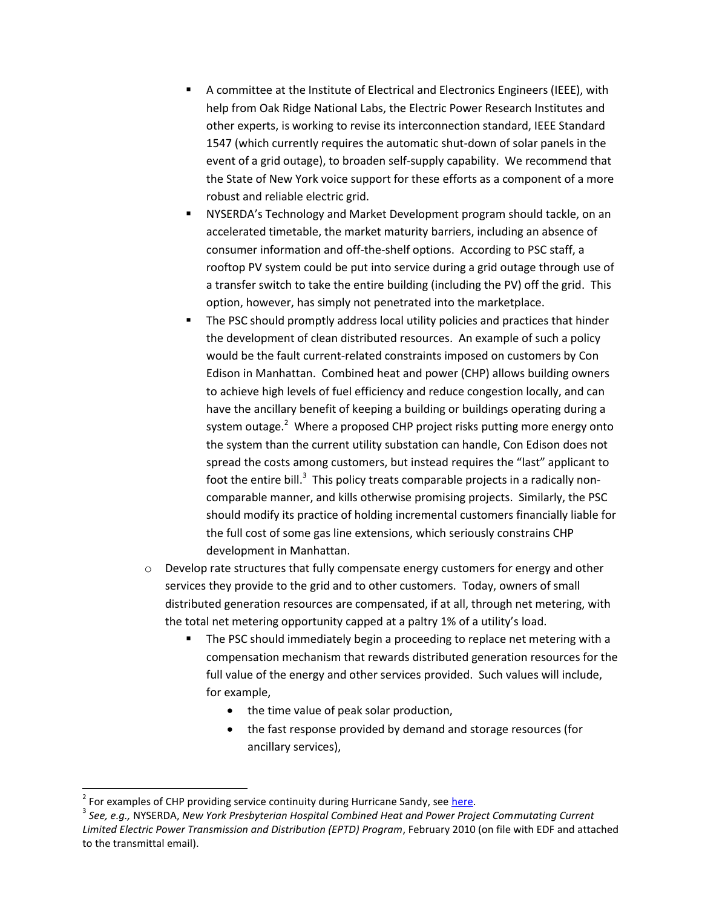- A committee at the Institute of Electrical and Electronics Engineers (IEEE), with help from Oak Ridge National Labs, the Electric Power Research Institutes and other experts, is working to revise its interconnection standard, IEEE Standard 1547 (which currently requires the automatic shut-down of solar panels in the event of a grid outage), to broaden self-supply capability. We recommend that the State of New York voice support for these efforts as a component of a more robust and reliable electric grid.
- NYSERDA's Technology and Market Development program should tackle, on an accelerated timetable, the market maturity barriers, including an absence of consumer information and off-the-shelf options. According to PSC staff, a rooftop PV system could be put into service during a grid outage through use of a transfer switch to take the entire building (including the PV) off the grid. This option, however, has simply not penetrated into the marketplace.
- The PSC should promptly address local utility policies and practices that hinder the development of clean distributed resources. An example of such a policy would be the fault current-related constraints imposed on customers by Con Edison in Manhattan. Combined heat and power (CHP) allows building owners to achieve high levels of fuel efficiency and reduce congestion locally, and can have the ancillary benefit of keeping a building or buildings operating during a system outage.<sup>2</sup> Where a proposed CHP project risks putting more energy onto the system than the current utility substation can handle, Con Edison does not spread the costs among customers, but instead requires the "last" applicant to foot the entire bill.<sup>3</sup> This policy treats comparable projects in a radically noncomparable manner, and kills otherwise promising projects. Similarly, the PSC should modify its practice of holding incremental customers financially liable for the full cost of some gas line extensions, which seriously constrains CHP development in Manhattan.
- $\circ$  Develop rate structures that fully compensate energy customers for energy and other services they provide to the grid and to other customers.Today, owners of small distributed generation resources are compensated, if at all, through net metering, with the total net metering opportunity capped at a paltry 1% of a utility's load.
	- The PSC should immediately begin a proceeding to replace net metering with a compensation mechanism that rewards distributed generation resources for the full value of the energy and other services provided. Such values will include, for example,
		- the time value of peak solar production,
		- the fast response provided by demand and storage resources (for ancillary services),

<sup>&</sup>lt;sup>2</sup> For examples of CHP providing service continuity during Hurricane Sandy, see [here.](http://dotearth.blogs.nytimes.com/2012/11/05/how-natural-gas-kept-some-spots-bright-and-warm-as-sandy-blasted-new-york/)

<sup>3</sup> *See, e.g.,* NYSERDA, *New York Presbyterian Hospital Combined Heat and Power Project Commutating Current Limited Electric Power Transmission and Distribution (EPTD) Program*, February 2010 (on file with EDF and attached to the transmittal email).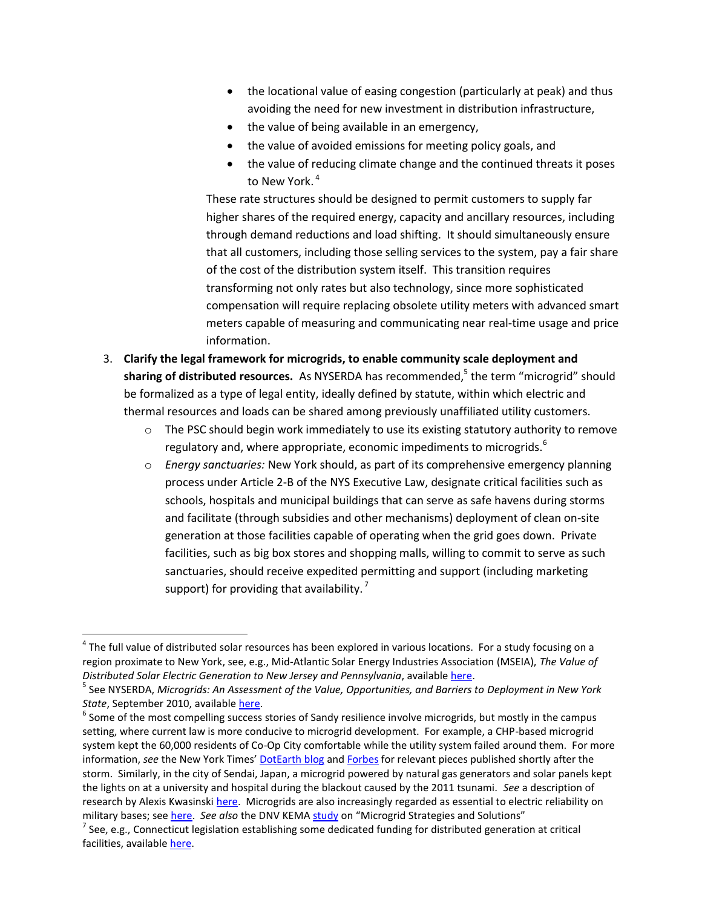- the locational value of easing congestion (particularly at peak) and thus avoiding the need for new investment in distribution infrastructure,
- the value of being available in an emergency,
- the value of avoided emissions for meeting policy goals, and
- the value of reducing climate change and the continued threats it poses to New York. 4

These rate structures should be designed to permit customers to supply far higher shares of the required energy, capacity and ancillary resources, including through demand reductions and load shifting. It should simultaneously ensure that all customers, including those selling services to the system, pay a fair share of the cost of the distribution system itself. This transition requires transforming not only rates but also technology, since more sophisticated compensation will require replacing obsolete utility meters with advanced smart meters capable of measuring and communicating near real-time usage and price information.

- 3. **Clarify the legal framework for microgrids, to enable community scale deployment and**  sharing of distributed resources. As NYSERDA has recommended,<sup>5</sup> the term "microgrid" should be formalized as a type of legal entity, ideally defined by statute, within which electric and thermal resources and loads can be shared among previously unaffiliated utility customers.
	- $\circ$  The PSC should begin work immediately to use its existing statutory authority to remove regulatory and, where appropriate, economic impediments to microgrids.<sup>6</sup>
	- o *Energy sanctuaries:* New York should, as part of its comprehensive emergency planning process under Article 2-B of the NYS Executive Law, designate critical facilities such as schools, hospitals and municipal buildings that can serve as safe havens during storms and facilitate (through subsidies and other mechanisms) deployment of clean on-site generation at those facilities capable of operating when the grid goes down. Private facilities, such as big box stores and shopping malls, willing to commit to serve as such sanctuaries, should receive expedited permitting and support (including marketing support) for providing that availability.<sup>7</sup>

<sup>&</sup>lt;sup>4</sup> The full value of distributed solar resources has been explored in various locations. For a study focusing on a region proximate to New York, see, e.g., Mid‐Atlantic Solar Energy Industries Association (MSEIA), *The Value of Distributed Solar Electric Generation to New Jersey and Pennsylvania*, availabl[e here.](http://mseia.net/site/wp-content/uploads/2012/05/MSEIA-Final-Benefits-of-Solar-Report-2012-11-01.pdf)

<sup>5</sup> See NYSERDA, *Microgrids: An Assessment of the Value, Opportunities, and Barriers to Deployment in New York State*, September 2010, availabl[e here.](http://www.nyserda.ny.gov/~/media/Files/Publications/Research/Electic%20Power%20Delivery/10-35-microgrids.pdf)

 $^6$  Some of the most compelling success stories of Sandy resilience involve microgrids, but mostly in the campus setting, where current law is more conducive to microgrid development. For example, a CHP-based microgrid system kept the 60,000 residents of Co-Op City comfortable while the utility system failed around them. For more information, *see* the New York Times' [DotEarth blog](http://dotearth.blogs.nytimes.com/2012/11/05/how-natural-gas-kept-some-spots-bright-and-warm-as-sandy-blasted-new-york/) and [Forbes](http://www.forbes.com/sites/williampentland/2012/10/31/where-the-lights-stayed-on-during-hurricane-sandy/) for relevant pieces published shortly after the storm. Similarly, in the city of Sendai, Japan, a microgrid powered by natural gas generators and solar panels kept the lights on at a university and hospital during the blackout caused by the 2011 tsunami. *See* a description of research by Alexis Kwasinski [here.](http://www.engr.utexas.edu/features/6945-kwasinskimicrogrid) Microgrids are also increasingly regarded as essential to electric reliability on military bases; see [here.](http://smartgridsherpa.com/blog/microgrid-security-considerations-in-military-base-deployments) *See also* the DNV KEMA [study](http://www.dnvkema.com/Images/Microgrid%20Strategies%20and%20Solutions%20051112.pdf) on "Microgrid Strategies and Solutions"

<sup>&</sup>lt;sup>7</sup> See, e.g., Connecticut legislation establishing some dedicated funding for distributed generation at critical facilities, available [here.](http://www.cga.ct.gov/2012/act/pa/2012PA-00148-R00SB-00023-PA.htm)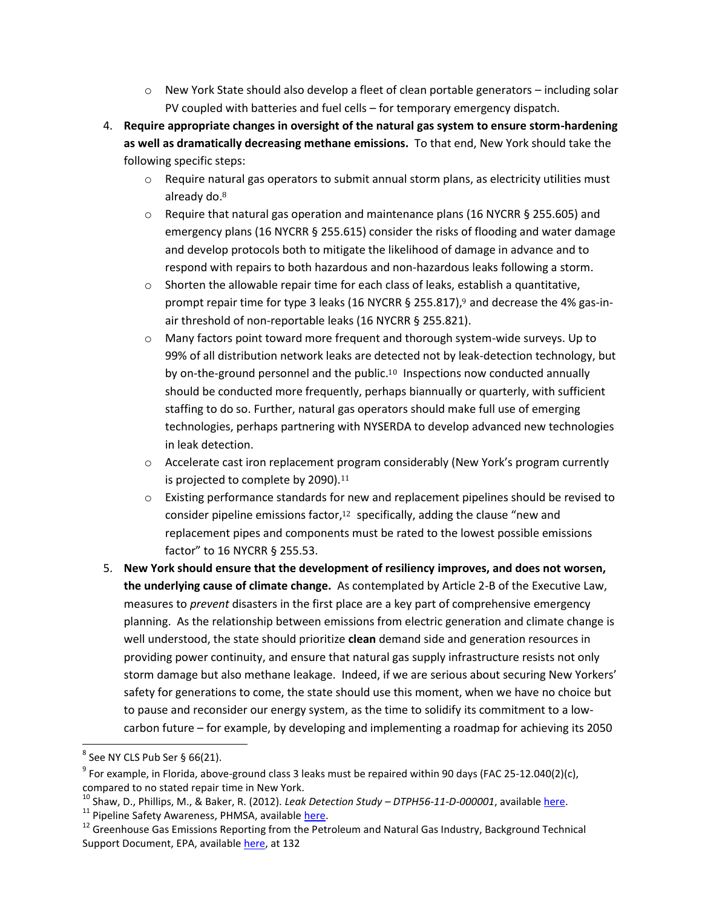- $\circ$  New York State should also develop a fleet of clean portable generators including solar PV coupled with batteries and fuel cells – for temporary emergency dispatch.
- 4. **Require appropriate changes in oversight of the natural gas system to ensure storm-hardening as well as dramatically decreasing methane emissions.** To that end, New York should take the following specific steps:
	- $\circ$  Require natural gas operators to submit annual storm plans, as electricity utilities must already do. 8
	- $\circ$  Require that natural gas operation and maintenance plans (16 NYCRR § 255.605) and emergency plans (16 NYCRR § 255.615) consider the risks of flooding and water damage and develop protocols both to mitigate the likelihood of damage in advance and to respond with repairs to both hazardous and non-hazardous leaks following a storm.
	- $\circ$  Shorten the allowable repair time for each class of leaks, establish a quantitative, prompt repair time for type 3 leaks (16 NYCRR § 255.817),<sup>9</sup> and decrease the 4% gas-inair threshold of non-reportable leaks (16 NYCRR § 255.821).
	- o Many factors point toward more frequent and thorough system-wide surveys. Up to 99% of all distribution network leaks are detected not by leak-detection technology, but by on-the-ground personnel and the public.<sup>10</sup> Inspections now conducted annually should be conducted more frequently, perhaps biannually or quarterly, with sufficient staffing to do so. Further, natural gas operators should make full use of emerging technologies, perhaps partnering with NYSERDA to develop advanced new technologies in leak detection.
	- $\circ$  Accelerate cast iron replacement program considerably (New York's program currently is projected to complete by 2090).<sup>11</sup>
	- $\circ$  Existing performance standards for new and replacement pipelines should be revised to consider pipeline emissions factor, <sup>12</sup> specifically, adding the clause "new and replacement pipes and components must be rated to the lowest possible emissions factor" to 16 NYCRR § 255.53.
- 5. **New York should ensure that the development of resiliency improves, and does not worsen, the underlying cause of climate change.** As contemplated by Article 2-B of the Executive Law, measures to *prevent* disasters in the first place are a key part of comprehensive emergency planning. As the relationship between emissions from electric generation and climate change is well understood, the state should prioritize **clean** demand side and generation resources in providing power continuity, and ensure that natural gas supply infrastructure resists not only storm damage but also methane leakage. Indeed, if we are serious about securing New Yorkers' safety for generations to come, the state should use this moment, when we have no choice but to pause and reconsider our energy system, as the time to solidify its commitment to a lowcarbon future – for example, by developing and implementing a roadmap for achieving its 2050

 $^8$  See NY CLS Pub Ser § 66(21).

 $^9$  For example, in Florida, above-ground class 3 leaks must be repaired within 90 days (FAC 25-12.040(2)(c), compared to no stated repair time in New York.

<sup>10</sup> Shaw, D., Phillips, M., & Baker, R. (2012). *Leak Detection Study – DTPH56-11-D-000001*, available [here.](https://primis.phmsa.dot.gov/meetings/Mtg80.mtg)

<sup>&</sup>lt;sup>11</sup> Pipeline Safety Awareness, PHMSA, availabl[e here.](http://opsweb.phmsa.dot.gov/pipelineforum/reports-and-research/cast-iron-pipeline/)

<sup>&</sup>lt;sup>12</sup> Greenhouse Gas Emissions Reporting from the Petroleum and Natural Gas Industry, Background Technical Support Document, EPA, available [here,](http://www.epa.gov/ghgreporting/documents/pdf/2010/Subpart-W_TSD.pdf) at 132